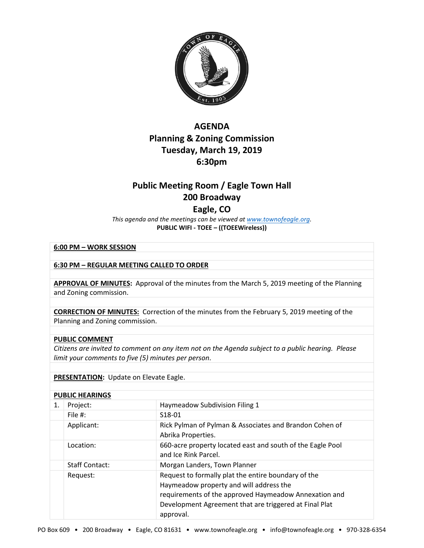

## **AGENDA Planning & Zoning Commission Tuesday, March 19, 2019 6:30pm**

# **Public Meeting Room / Eagle Town Hall 200 Broadway**

## **Eagle, CO**

*This agenda and the meetings can be viewed at [www.townofeagle.org.](http://www.townofeagle.org/)*  **PUBLIC WIFI - TOEE – ((TOEEWireless))**

#### **6:00 PM – WORK SESSION**

**6:30 PM – REGULAR MEETING CALLED TO ORDER**

**APPROVAL OF MINUTES:** Approval of the minutes from the March 5, 2019 meeting of the Planning and Zoning commission.

**CORRECTION OF MINUTES:** Correction of the minutes from the February 5, 2019 meeting of the Planning and Zoning commission.

#### **PUBLIC COMMENT**

*Citizens are invited to comment on any item not on the Agenda subject to a public hearing. Please limit your comments to five (5) minutes per person*.

#### **PRESENTATION:** Update on Elevate Eagle.

#### **PUBLIC HEARINGS**

| 1. | Project:              | Haymeadow Subdivision Filing 1                                                                                                                                                                                                 |
|----|-----------------------|--------------------------------------------------------------------------------------------------------------------------------------------------------------------------------------------------------------------------------|
|    | File $#$ :            | S18-01                                                                                                                                                                                                                         |
|    | Applicant:            | Rick Pylman of Pylman & Associates and Brandon Cohen of<br>Abrika Properties.                                                                                                                                                  |
|    | Location:             | 660-acre property located east and south of the Eagle Pool<br>and Ice Rink Parcel.                                                                                                                                             |
|    | <b>Staff Contact:</b> | Morgan Landers, Town Planner                                                                                                                                                                                                   |
|    | Request:              | Request to formally plat the entire boundary of the<br>Haymeadow property and will address the<br>requirements of the approved Haymeadow Annexation and<br>Development Agreement that are triggered at Final Plat<br>approval. |